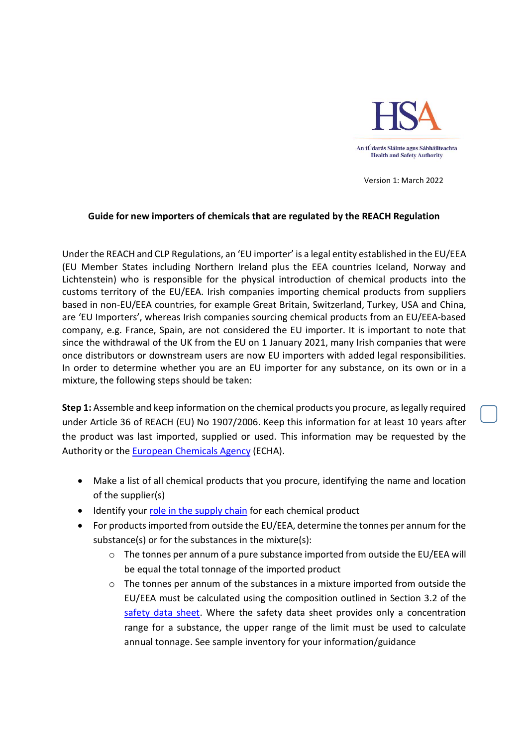

Version 1: March 2022

## Guide for new importers of chemicals that are regulated by the REACH Regulation

Under the REACH and CLP Regulations, an 'EU importer' is a legal entity established in the EU/EEA (EU Member States including Northern Ireland plus the EEA countries Iceland, Norway and Lichtenstein) who is responsible for the physical introduction of chemical products into the customs territory of the EU/EEA. Irish companies importing chemical products from suppliers based in non-EU/EEA countries, for example Great Britain, Switzerland, Turkey, USA and China, are 'EU Importers', whereas Irish companies sourcing chemical products from an EU/EEA-based company, e.g. France, Spain, are not considered the EU importer. It is important to note that since the withdrawal of the UK from the EU on 1 January 2021, many Irish companies that were once distributors or downstream users are now EU importers with added legal responsibilities. In order to determine whether you are an EU importer for any substance, on its own or in a mixture, the following steps should be taken:

Step 1: Assemble and keep information on the chemical products you procure, as legally required under Article 36 of REACH (EU) No 1907/2006. Keep this information for at least 10 years after the product was last imported, supplied or used. This information may be requested by the Authority or the European Chemicals Agency (ECHA).

- Make a list of all chemical products that you procure, identifying the name and location of the supplier(s)
- Identify your role in the supply chain for each chemical product
- For products imported from outside the EU/EEA, determine the tonnes per annum for the substance(s) or for the substances in the mixture(s):
	- $\circ$  The tonnes per annum of a pure substance imported from outside the EU/EEA will be equal the total tonnage of the imported product
	- $\circ$  The tonnes per annum of the substances in a mixture imported from outside the EU/EEA must be calculated using the composition outlined in Section 3.2 of the safety data sheet. Where the safety data sheet provides only a concentration range for a substance, the upper range of the limit must be used to calculate annual tonnage. See sample inventory for your information/guidance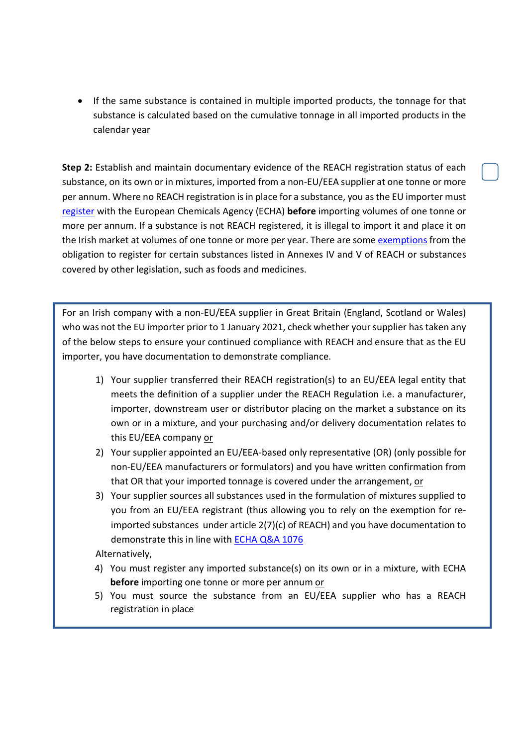• If the same substance is contained in multiple imported products, the tonnage for that substance is calculated based on the cumulative tonnage in all imported products in the calendar year

Step 2: Establish and maintain documentary evidence of the REACH registration status of each substance, on its own or in mixtures, imported from a non-EU/EEA supplier at one tonne or more per annum. Where no REACH registration is in place for a substance, you as the EU importer must register with the European Chemicals Agency (ECHA) before importing volumes of one tonne or more per annum. If a substance is not REACH registered, it is illegal to import it and place it on the Irish market at volumes of one tonne or more per year. There are some exemptions from the obligation to register for certain substances listed in Annexes IV and V of REACH or substances covered by other legislation, such as foods and medicines.

For an Irish company with a non-EU/EEA supplier in Great Britain (England, Scotland or Wales) who was not the EU importer prior to 1 January 2021, check whether your supplier has taken any of the below steps to ensure your continued compliance with REACH and ensure that as the EU importer, you have documentation to demonstrate compliance.

- 1) Your supplier transferred their REACH registration(s) to an EU/EEA legal entity that meets the definition of a supplier under the REACH Regulation i.e. a manufacturer, importer, downstream user or distributor placing on the market a substance on its own or in a mixture, and your purchasing and/or delivery documentation relates to this EU/EEA company or
- 2) Your supplier appointed an EU/EEA-based only representative (OR) (only possible for non-EU/EEA manufacturers or formulators) and you have written confirmation from that OR that your imported tonnage is covered under the arrangement, or
- 3) Your supplier sources all substances used in the formulation of mixtures supplied to you from an EU/EEA registrant (thus allowing you to rely on the exemption for reimported substances under article 2(7)(c) of REACH) and you have documentation to demonstrate this in line with ECHA Q&A 1076

Alternatively,

- 4) You must register any imported substance(s) on its own or in a mixture, with ECHA before importing one tonne or more per annum or
- 5) You must source the substance from an EU/EEA supplier who has a REACH registration in place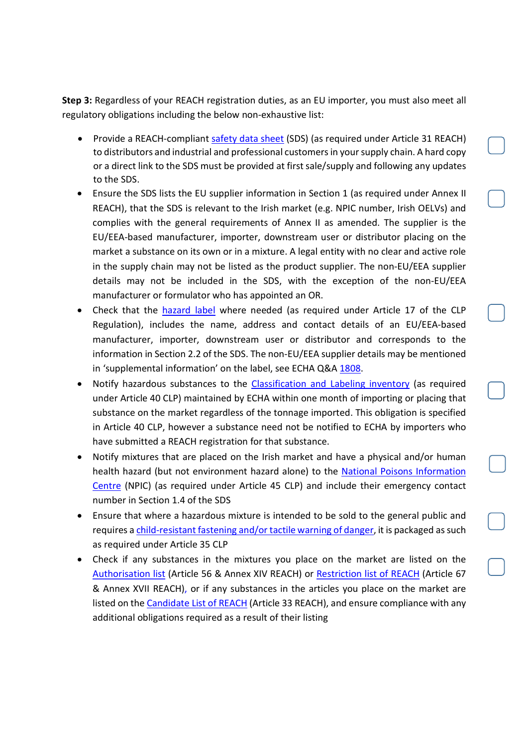Step 3: Regardless of your REACH registration duties, as an EU importer, you must also meet all regulatory obligations including the below non-exhaustive list:

- Provide a REACH-compliant safety data sheet (SDS) (as required under Article 31 REACH) to distributors and industrial and professional customers in your supply chain. A hard copy or a direct link to the SDS must be provided at first sale/supply and following any updates to the SDS.
- Ensure the SDS lists the EU supplier information in Section 1 (as required under Annex II REACH), that the SDS is relevant to the Irish market (e.g. NPIC number, Irish OELVs) and complies with the general requirements of Annex II as amended. The supplier is the EU/EEA-based manufacturer, importer, downstream user or distributor placing on the market a substance on its own or in a mixture. A legal entity with no clear and active role in the supply chain may not be listed as the product supplier. The non-EU/EEA supplier details may not be included in the SDS, with the exception of the non-EU/EEA manufacturer or formulator who has appointed an OR.
- Check that the hazard label where needed (as required under Article 17 of the CLP Regulation), includes the name, address and contact details of an EU/EEA-based manufacturer, importer, downstream user or distributor and corresponds to the information in Section 2.2 of the SDS. The non-EU/EEA supplier details may be mentioned in 'supplemental information' on the label, see ECHA Q&A 1808.
- Notify hazardous substances to the Classification and Labeling inventory (as required under Article 40 CLP) maintained by ECHA within one month of importing or placing that substance on the market regardless of the tonnage imported. This obligation is specified in Article 40 CLP, however a substance need not be notified to ECHA by importers who have submitted a REACH registration for that substance.
- Notify mixtures that are placed on the Irish market and have a physical and/or human health hazard (but not environment hazard alone) to the National Poisons Information Centre (NPIC) (as required under Article 45 CLP) and include their emergency contact number in Section 1.4 of the SDS
- Ensure that where a hazardous mixture is intended to be sold to the general public and requires a child-resistant fastening and/or tactile warning of danger, it is packaged as such as required under Article 35 CLP
- Check if any substances in the mixtures you place on the market are listed on the Authorisation list (Article 56 & Annex XIV REACH) or Restriction list of REACH (Article 67 & Annex XVII REACH), or if any substances in the articles you place on the market are listed on the Candidate List of REACH (Article 33 REACH), and ensure compliance with any additional obligations required as a result of their listing